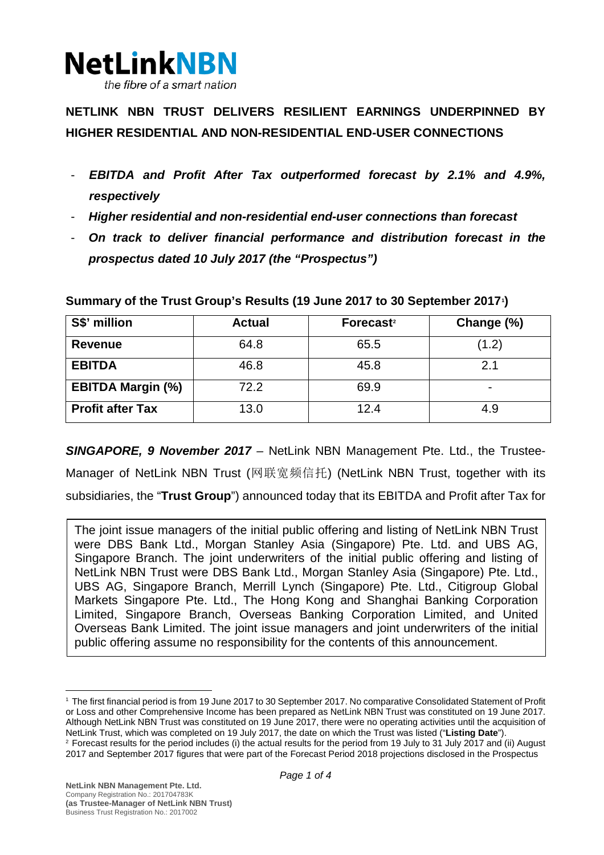

**NETLINK NBN TRUST DELIVERS RESILIENT EARNINGS UNDERPINNED BY HIGHER RESIDENTIAL AND NON-RESIDENTIAL END-USER CONNECTIONS**

- *EBITDA and Profit After Tax outperformed forecast by 2.1% and 4.9%, respectively*
- *Higher residential and non-residential end-user connections than forecast*
- *On track to deliver financial performance and distribution forecast in the prospectus dated 10 July 2017 (the "Prospectus")*

| S\$' million             | <b>Actual</b> | Forecast <sup>2</sup> | Change (%) |
|--------------------------|---------------|-----------------------|------------|
| <b>Revenue</b>           | 64.8          | 65.5                  | (1.2)      |
| <b>EBITDA</b>            | 46.8          | 45.8                  | 2.1        |
| <b>EBITDA Margin (%)</b> | 72.2          | 69.9                  |            |
| <b>Profit after Tax</b>  | 13.0          | 12.4                  | 4.9        |

**Summary of the Trust Group's Results (19 June 2017 to 30 September 2017[1](#page-0-0) )**

*SINGAPORE, 9 November 2017 –* NetLink NBN Management Pte. Ltd., the Trustee-Manager of NetLink NBN Trust (网联宽频信托) (NetLink NBN Trust, together with its subsidiaries, the "**Trust Group**") announced today that its EBITDA and Profit after Tax for

The joint issue managers of the initial public offering and listing of NetLink NBN Trust were DBS Bank Ltd., Morgan Stanley Asia (Singapore) Pte. Ltd. and UBS AG, Singapore Branch. The joint underwriters of the initial public offering and listing of NetLink NBN Trust were DBS Bank Ltd., Morgan Stanley Asia (Singapore) Pte. Ltd., UBS AG, Singapore Branch, Merrill Lynch (Singapore) Pte. Ltd., Citigroup Global Markets Singapore Pte. Ltd., The Hong Kong and Shanghai Banking Corporation Limited, Singapore Branch, Overseas Banking Corporation Limited, and United Overseas Bank Limited. The joint issue managers and joint underwriters of the initial public offering assume no responsibility for the contents of this announcement.

<span id="page-0-0"></span><sup>1</sup> The first financial period is from 19 June 2017 to 30 September 2017. No comparative Consolidated Statement of Profit or Loss and other Comprehensive Income has been prepared as NetLink NBN Trust was constituted on 19 June 2017. Although NetLink NBN Trust was constituted on 19 June 2017, there were no operating activities until the acquisition of NetLink Trust, which was completed on 19 July 2017, the date on which the Trust was listed ("Listing D <sup>2</sup> Forecast results for the period includes (i) the actual results for the period from 19 July to 31 July 2017 and (ii) August

<span id="page-0-1"></span><sup>2017</sup> and September 2017 figures that were part of the Forecast Period 2018 projections disclosed in the Prospectus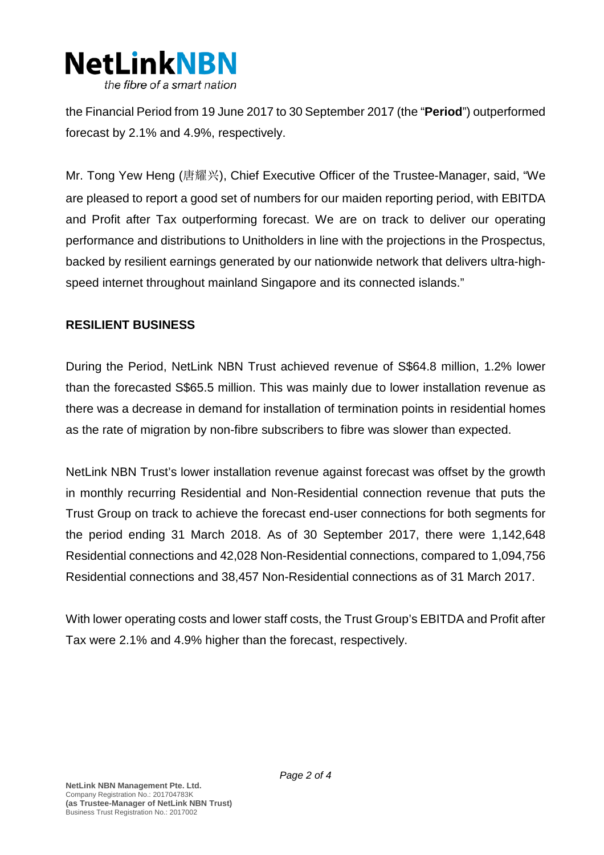

the Financial Period from 19 June 2017 to 30 September 2017 (the "**Period**") outperformed forecast by 2.1% and 4.9%, respectively.

Mr. Tong Yew Heng (唐耀兴), Chief Executive Officer of the Trustee-Manager, said, "We are pleased to report a good set of numbers for our maiden reporting period, with EBITDA and Profit after Tax outperforming forecast. We are on track to deliver our operating performance and distributions to Unitholders in line with the projections in the Prospectus, backed by resilient earnings generated by our nationwide network that delivers ultra-highspeed internet throughout mainland Singapore and its connected islands."

## **RESILIENT BUSINESS**

During the Period, NetLink NBN Trust achieved revenue of S\$64.8 million, 1.2% lower than the forecasted S\$65.5 million. This was mainly due to lower installation revenue as there was a decrease in demand for installation of termination points in residential homes as the rate of migration by non-fibre subscribers to fibre was slower than expected.

NetLink NBN Trust's lower installation revenue against forecast was offset by the growth in monthly recurring Residential and Non-Residential connection revenue that puts the Trust Group on track to achieve the forecast end-user connections for both segments for the period ending 31 March 2018. As of 30 September 2017, there were 1,142,648 Residential connections and 42,028 Non-Residential connections, compared to 1,094,756 Residential connections and 38,457 Non-Residential connections as of 31 March 2017.

With lower operating costs and lower staff costs, the Trust Group's EBITDA and Profit after Tax were 2.1% and 4.9% higher than the forecast, respectively.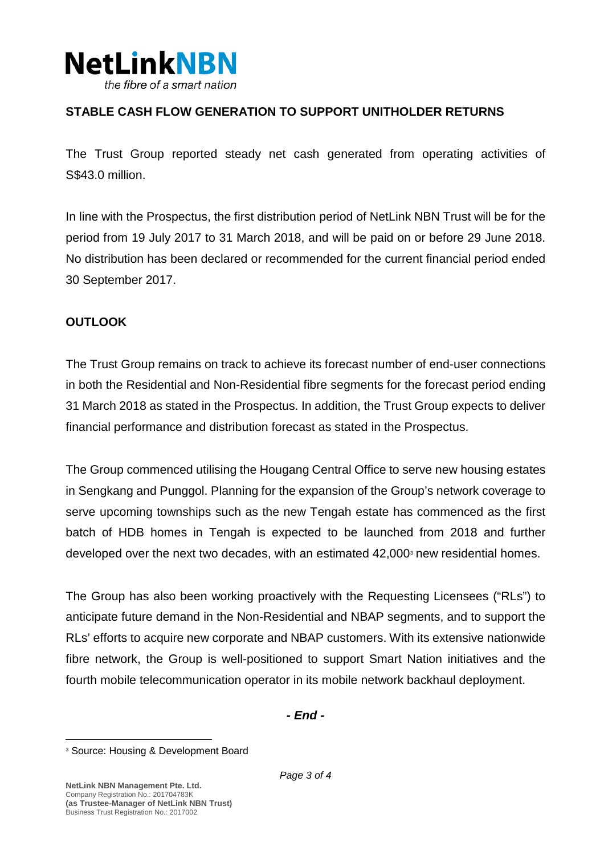

## **STABLE CASH FLOW GENERATION TO SUPPORT UNITHOLDER RETURNS**

The Trust Group reported steady net cash generated from operating activities of S\$43.0 million.

In line with the Prospectus, the first distribution period of NetLink NBN Trust will be for the period from 19 July 2017 to 31 March 2018, and will be paid on or before 29 June 2018. No distribution has been declared or recommended for the current financial period ended 30 September 2017.

## **OUTLOOK**

The Trust Group remains on track to achieve its forecast number of end-user connections in both the Residential and Non-Residential fibre segments for the forecast period ending 31 March 2018 as stated in the Prospectus. In addition, the Trust Group expects to deliver financial performance and distribution forecast as stated in the Prospectus.

The Group commenced utilising the Hougang Central Office to serve new housing estates in Sengkang and Punggol. Planning for the expansion of the Group's network coverage to serve upcoming townships such as the new Tengah estate has commenced as the first batch of HDB homes in Tengah is expected to be launched from 2018 and further developed over the next two decades, with an estimated  $42,000$ <sup>[3](#page-2-0)</sup> new residential homes.

The Group has also been working proactively with the Requesting Licensees ("RLs") to anticipate future demand in the Non-Residential and NBAP segments, and to support the RLs' efforts to acquire new corporate and NBAP customers. With its extensive nationwide fibre network, the Group is well-positioned to support Smart Nation initiatives and the fourth mobile telecommunication operator in its mobile network backhaul deployment.

*- End -*

<span id="page-2-0"></span><sup>3</sup> Source: Housing & Development Board